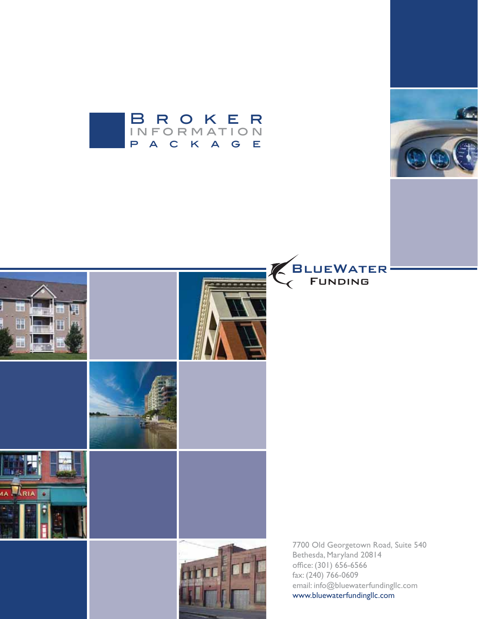







7700 Old Georgetown Road, Suite 540 Bethesda, Maryland 20814 office: (301) 656-6566 fax: (240) 766-0609 email: info@bluewaterfundingllc.com www.bluewaterfundingllc.com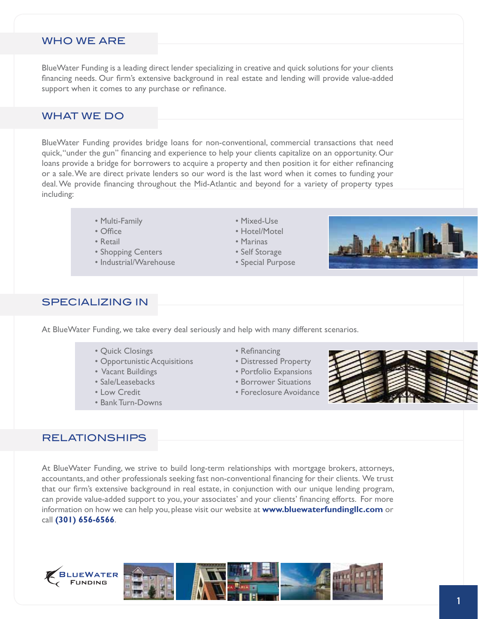#### WHO WE ARE

BlueWater Funding is a leading direct lender specializing in creative and quick solutions for your clients financing needs. Our firm's extensive background in real estate and lending will provide value-added support when it comes to any purchase or refinance.

### WHAT WE DO

BlueWater Funding provides bridge loans for non-conventional, commercial transactions that need quick, "under the gun" financing and experience to help your clients capitalize on an opportunity. Our loans provide a bridge for borrowers to acquire a property and then position it for either refinancing or a sale. We are direct private lenders so our word is the last word when it comes to funding your deal. We provide financing throughout the Mid-Atlantic and beyond for a variety of property types including:

- Multi-Family **Contract Contract Contract Contract Contract Contract Contract Contract Contract Contract Contract Contract Contract Contract Contract Contract Contract Contract Contract Contract Contract Contract Contract**
- 
- 
- Shopping Centers  **Self Storage**
- s)NDUSTRIAL7AREHOUSE s3PECIAL0URPOSE
- 
- Office **Southern Contract Section Section Hotel/Motel**
- Retail **Contract Contract Contract Contract Contract Contract Contract Contract Contract Contract Contract Contract Contract Contract Contract Contract Contract Contract Contract Contract Contract Contract Contract Contr** 
	-
	-



#### SPECIALIZING IN

At BlueWater Funding, we take every deal seriously and help with many different scenarios.

- s1UICK#LOSINGS s2ElNANCING
- Opportunistic Acquisitions Distressed Property
- 
- 
- 
- Bank Turn-Downs
- 
- 
- Vacant Buildings  **same vacant Buildings** some vacant of the Portfolio Expansions
- s3ALE,EASEBACKS s"ORROWER3ITUATIONS
- Low Credit **Contract Contract Contract Contract Contract Contract Contract Contract Contract Contract Contract Contract Contract Contract Contract Contract Contract Contract Contract Contract Contract Contract Contract C**



#### RELATIONSHIPS

At BlueWater Funding, we strive to build long-term relationships with mortgage brokers, attorneys, accountants, and other professionals seeking fast non-conventional financing for their clients. We trust that our firm's extensive background in real estate, in conjunction with our unique lending program, can provide value-added support to you, your associates' and your clients' financing efforts. For more information on how we can help you, please visit our website at **www.bluewaterfundingllc.com** or call **(301) 656-6566**.

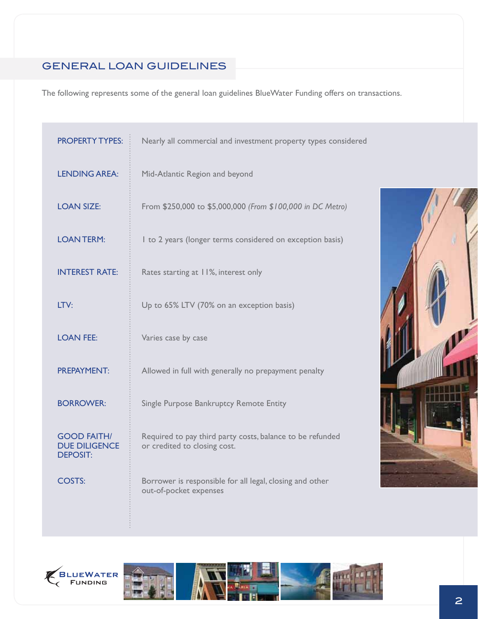## GENERAL LOAN GUIDELINES

The following represents some of the general loan guidelines BlueWater Funding offers on transactions.

| <b>PROPERTY TYPES:</b>                                        | Nearly all commercial and investment property types considered                            |  |  |
|---------------------------------------------------------------|-------------------------------------------------------------------------------------------|--|--|
| <b>LENDING AREA:</b>                                          | Mid-Atlantic Region and beyond                                                            |  |  |
| <b>LOAN SIZE:</b>                                             | From \$250,000 to \$5,000,000 (From \$100,000 in DC Metro)                                |  |  |
| <b>LOANTERM:</b>                                              | I to 2 years (longer terms considered on exception basis)                                 |  |  |
| <b>INTEREST RATE:</b>                                         | Rates starting at 11%, interest only                                                      |  |  |
| LTV:                                                          | Up to 65% LTV (70% on an exception basis)                                                 |  |  |
| <b>LOAN FEE:</b>                                              | Varies case by case                                                                       |  |  |
| <b>PREPAYMENT:</b>                                            | Allowed in full with generally no prepayment penalty                                      |  |  |
| <b>BORROWER:</b>                                              | Single Purpose Bankruptcy Remote Entity                                                   |  |  |
| <b>GOOD FAITH/</b><br><b>DUE DILIGENCE</b><br><b>DEPOSIT:</b> | Required to pay third party costs, balance to be refunded<br>or credited to closing cost. |  |  |
| COSTS:                                                        | Borrower is responsible for all legal, closing and other<br>out-of-pocket expenses        |  |  |





÷.

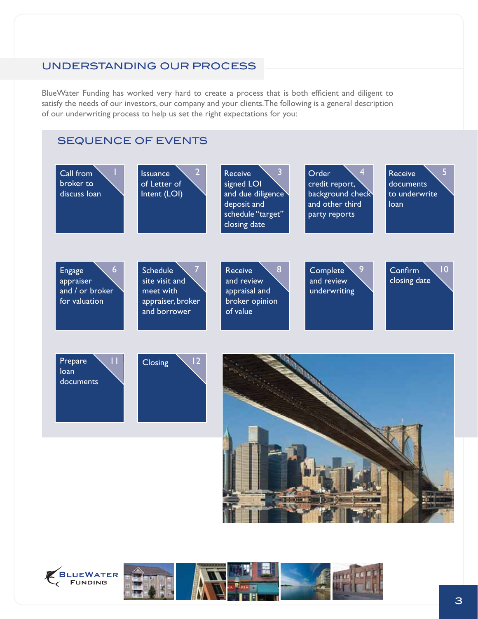### UNDERSTANDING OUR PROCESS

BlueWater Funding has worked very hard to create a process that is both efficient and diligent to satisfy the needs of our investors, our company and your clients. The following is a general description of our underwriting process to help us set the right expectations for you:

### SEQUENCE OF EVENTS





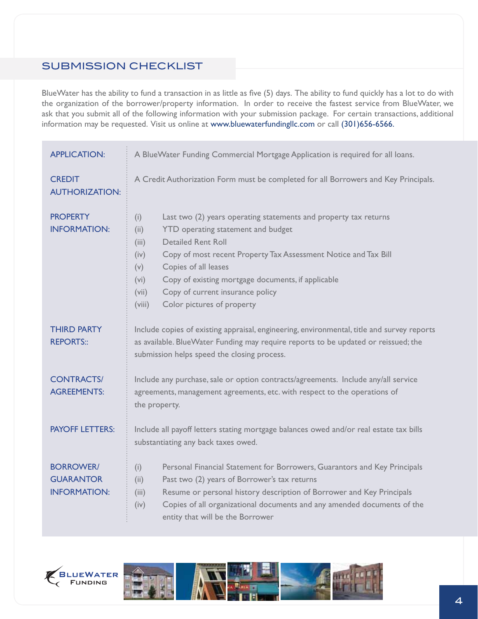## SUBMISSION CHECKLIST

BlueWater has the ability to fund a transaction in as little as five (5) days. The ability to fund quickly has a lot to do with the organization of the borrower/property information. In order to receive the fastest service from BlueWater, we ask that you submit all of the following information with your submission package. For certain transactions, additional information may be requested. Visit us online at www.bluewaterfundingllc.com or call (301)656-6566.

| <b>APPLICATION:</b>                                         | A BlueWater Funding Commercial Mortgage Application is required for all loans.                                                                                                                                                                                                                                                                                                                                           |  |  |  |
|-------------------------------------------------------------|--------------------------------------------------------------------------------------------------------------------------------------------------------------------------------------------------------------------------------------------------------------------------------------------------------------------------------------------------------------------------------------------------------------------------|--|--|--|
| <b>CREDIT</b><br><b>AUTHORIZATION:</b>                      | A Credit Authorization Form must be completed for all Borrowers and Key Principals.                                                                                                                                                                                                                                                                                                                                      |  |  |  |
| <b>PROPERTY</b><br><b>INFORMATION:</b>                      | Last two (2) years operating statements and property tax returns<br>(i)<br>YTD operating statement and budget<br>(ii)<br><b>Detailed Rent Roll</b><br>(iii)<br>Copy of most recent Property Tax Assessment Notice and Tax Bill<br>(iv)<br>Copies of all leases<br>(v)<br>Copy of existing mortgage documents, if applicable<br>(vi)<br>Copy of current insurance policy<br>(vii)<br>Color pictures of property<br>(viii) |  |  |  |
| <b>THIRD PARTY</b><br><b>REPORTS::</b>                      | Include copies of existing appraisal, engineering, environmental, title and survey reports<br>as available. BlueWater Funding may require reports to be updated or reissued; the<br>submission helps speed the closing process.                                                                                                                                                                                          |  |  |  |
| <b>CONTRACTS/</b><br><b>AGREEMENTS:</b>                     | Include any purchase, sale or option contracts/agreements. Include any/all service<br>agreements, management agreements, etc. with respect to the operations of<br>the property.                                                                                                                                                                                                                                         |  |  |  |
| <b>PAYOFF LETTERS:</b>                                      | Include all payoff letters stating mortgage balances owed and/or real estate tax bills<br>substantiating any back taxes owed.                                                                                                                                                                                                                                                                                            |  |  |  |
| <b>BORROWER/</b><br><b>GUARANTOR</b><br><b>INFORMATION:</b> | Personal Financial Statement for Borrowers, Guarantors and Key Principals<br>(i)<br>Past two (2) years of Borrower's tax returns<br>(ii)<br>Resume or personal history description of Borrower and Key Principals<br>(iii)<br>Copies of all organizational documents and any amended documents of the<br>(iv)<br>entity that will be the Borrower                                                                        |  |  |  |



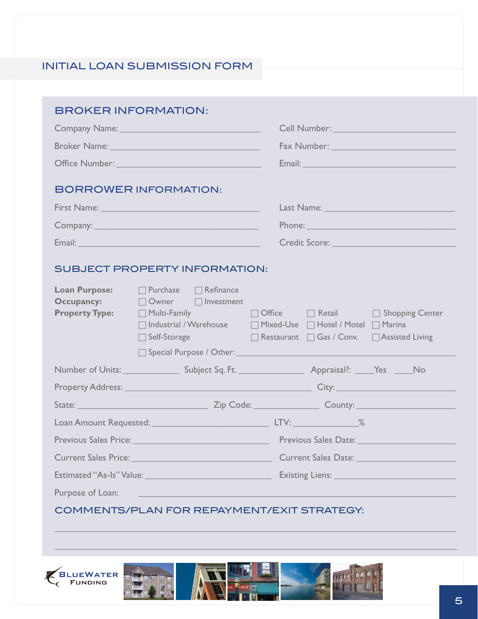# INITIAL LOAN SUBMISSION FORM

| <b>BROKER INFORMATION:</b>                                         |                                                                                                                                      |                                                                                                                                                                                                                                      |
|--------------------------------------------------------------------|--------------------------------------------------------------------------------------------------------------------------------------|--------------------------------------------------------------------------------------------------------------------------------------------------------------------------------------------------------------------------------------|
|                                                                    |                                                                                                                                      | Cell Number: Van Maria Communication Cell Number:                                                                                                                                                                                    |
|                                                                    |                                                                                                                                      | Fax Number: 1988 and 1988 and 1988 and 1988 and 1988 and 1988 and 1988 and 1988 and 1988 and 1988 and 1988 and 1988 and 1988 and 1988 and 1988 and 1988 and 1988 and 1988 and 1988 and 1988 and 1988 and 1988 and 1988 and 198       |
|                                                                    |                                                                                                                                      |                                                                                                                                                                                                                                      |
|                                                                    | <b>BORROWER INFORMATION:</b>                                                                                                         |                                                                                                                                                                                                                                      |
|                                                                    | First Name: 1988 - 1988 - 1988 - 1988 - 1988 - 1988 - 1988 - 1988 - 1988 - 1988 - 1988 - 1988 - 1988 - 1988 -                        | Last Name: Name and Allen and Allen and Allen and Allen and Allen and Allen and Allen and Allen and Allen                                                                                                                            |
|                                                                    |                                                                                                                                      |                                                                                                                                                                                                                                      |
|                                                                    |                                                                                                                                      | Credit Score:                                                                                                                                                                                                                        |
| <b>Loan Purpose:</b><br><b>Occupancy:</b><br><b>Property Type:</b> | <b>SUBJECT PROPERTY INFORMATION:</b><br>$\Box$ Purchase $\Box$ Refinance<br>□ Owner □ Investment<br>Self-Storage <b>Self-Storage</b> | □ Multi-Family △ □ ○ Office □ Retail □ Shopping Center<br>□ Industrial / Warehouse   □ Mixed-Use □ Hotel / Motel □ Marina<br>□ Restaurant □ Gas / Conv. □ Assisted Living                                                            |
|                                                                    |                                                                                                                                      |                                                                                                                                                                                                                                      |
|                                                                    |                                                                                                                                      |                                                                                                                                                                                                                                      |
|                                                                    |                                                                                                                                      |                                                                                                                                                                                                                                      |
|                                                                    |                                                                                                                                      |                                                                                                                                                                                                                                      |
|                                                                    |                                                                                                                                      |                                                                                                                                                                                                                                      |
|                                                                    | Current Sales Price: University of the Current Sales Price:                                                                          | Current Sales Date: <u>Carl Carl Communication</u>                                                                                                                                                                                   |
|                                                                    |                                                                                                                                      | Existing Liens: <u>Andrea Barbara and Barbara and Barbara and Barbara and Barbara and Barbara and Barbara and Barbara and Barbara and Barbara and Barbara and Barbara and Barbara and Barbara and Barbara and Barbara and Barbar</u> |
| Purpose of Loan:                                                   |                                                                                                                                      |                                                                                                                                                                                                                                      |
|                                                                    |                                                                                                                                      | COMMENTS/PLAN FOR REPAYMENT/EXIT STRATEGY:                                                                                                                                                                                           |







??????????????????????????????????????????????????????????????????????????????????????

??????????????????????????????????????????????????????????????????????????????????????